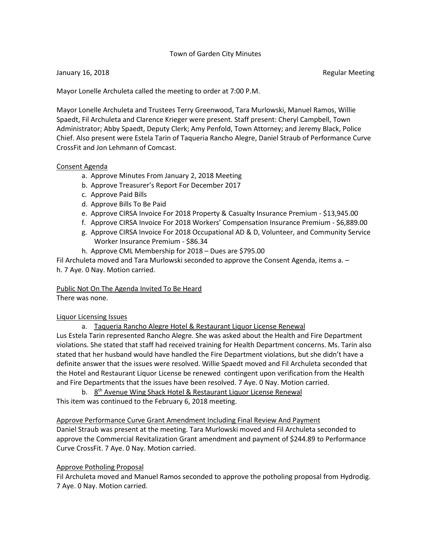# Town of Garden City Minutes

### January 16, 2018 **Regular Meeting** Superintendent Control of the Regular Meeting Regular Meeting

Mayor Lonelle Archuleta called the meeting to order at 7:00 P.M.

Mayor Lonelle Archuleta and Trustees Terry Greenwood, Tara Murlowski, Manuel Ramos, Willie Spaedt, Fil Archuleta and Clarence Krieger were present. Staff present: Cheryl Campbell, Town Administrator; Abby Spaedt, Deputy Clerk; Amy Penfold, Town Attorney; and Jeremy Black, Police Chief. Also present were Estela Tarin of Taqueria Rancho Alegre, Daniel Straub of Performance Curve CrossFit and Jon Lehmann of Comcast.

### Consent Agenda

- a. Approve Minutes From January 2, 2018 Meeting
- b. Approve Treasurer's Report For December 2017
- c. Approve Paid Bills
- d. Approve Bills To Be Paid
- e. Approve CIRSA Invoice For 2018 Property & Casualty Insurance Premium \$13,945.00
- f. Approve CIRSA Invoice For 2018 Workers' Compensation Insurance Premium \$6,889.00
- g. Approve CIRSA Invoice For 2018 Occupational AD & D, Volunteer, and Community Service Worker Insurance Premium - \$86.34
- h. Approve CML Membership for 2018 Dues are \$795.00

Fil Archuleta moved and Tara Murlowski seconded to approve the Consent Agenda, items a. – h. 7 Aye. 0 Nay. Motion carried.

Public Not On The Agenda Invited To Be Heard

There was none.

# Liquor Licensing Issues

a. Taqueria Rancho Alegre Hotel & Restaurant Liquor License Renewal Lus Estela Tarin represented Rancho Alegre. She was asked about the Health and Fire Department violations. She stated that staff had received training for Health Department concerns. Ms. Tarin also stated that her husband would have handled the Fire Department violations, but she didn't have a definite answer that the issues were resolved. Willie Spaedt moved and Fil Archuleta seconded that the Hotel and Restaurant Liquor License be renewed contingent upon verification from the Health and Fire Departments that the issues have been resolved. 7 Aye. 0 Nay. Motion carried.

b. 8<sup>th</sup> Avenue Wing Shack Hotel & Restaurant Liquor License Renewal This item was continued to the February 6, 2018 meeting.

Approve Performance Curve Grant Amendment Including Final Review And Payment Daniel Straub was present at the meeting. Tara Murlowski moved and Fil Archuleta seconded to approve the Commercial Revitalization Grant amendment and payment of \$244.89 to Performance Curve CrossFit. 7 Aye. 0 Nay. Motion carried.

# Approve Potholing Proposal

Fil Archuleta moved and Manuel Ramos seconded to approve the potholing proposal from Hydrodig. 7 Aye. 0 Nay. Motion carried.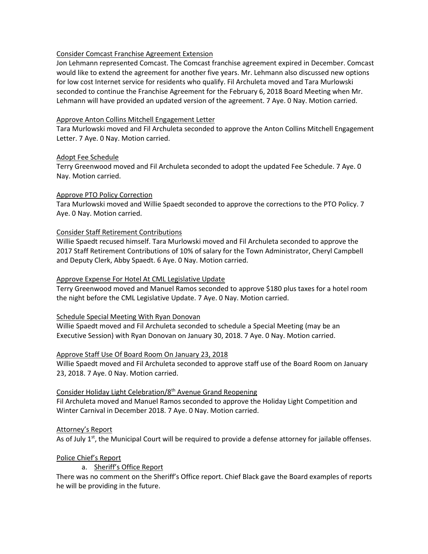# Consider Comcast Franchise Agreement Extension

Jon Lehmann represented Comcast. The Comcast franchise agreement expired in December. Comcast would like to extend the agreement for another five years. Mr. Lehmann also discussed new options for low cost Internet service for residents who qualify. Fil Archuleta moved and Tara Murlowski seconded to continue the Franchise Agreement for the February 6, 2018 Board Meeting when Mr. Lehmann will have provided an updated version of the agreement. 7 Aye. 0 Nay. Motion carried.

#### Approve Anton Collins Mitchell Engagement Letter

Tara Murlowski moved and Fil Archuleta seconded to approve the Anton Collins Mitchell Engagement Letter. 7 Aye. 0 Nay. Motion carried.

### Adopt Fee Schedule

Terry Greenwood moved and Fil Archuleta seconded to adopt the updated Fee Schedule. 7 Aye. 0 Nay. Motion carried.

### Approve PTO Policy Correction

Tara Murlowski moved and Willie Spaedt seconded to approve the corrections to the PTO Policy. 7 Aye. 0 Nay. Motion carried.

### Consider Staff Retirement Contributions

Willie Spaedt recused himself. Tara Murlowski moved and Fil Archuleta seconded to approve the 2017 Staff Retirement Contributions of 10% of salary for the Town Administrator, Cheryl Campbell and Deputy Clerk, Abby Spaedt. 6 Aye. 0 Nay. Motion carried.

## Approve Expense For Hotel At CML Legislative Update

Terry Greenwood moved and Manuel Ramos seconded to approve \$180 plus taxes for a hotel room the night before the CML Legislative Update. 7 Aye. 0 Nay. Motion carried.

#### Schedule Special Meeting With Ryan Donovan

Willie Spaedt moved and Fil Archuleta seconded to schedule a Special Meeting (may be an Executive Session) with Ryan Donovan on January 30, 2018. 7 Aye. 0 Nay. Motion carried.

# Approve Staff Use Of Board Room On January 23, 2018

Willie Spaedt moved and Fil Archuleta seconded to approve staff use of the Board Room on January 23, 2018. 7 Aye. 0 Nay. Motion carried.

# Consider Holiday Light Celebration/8th Avenue Grand Reopening

Fil Archuleta moved and Manuel Ramos seconded to approve the Holiday Light Competition and Winter Carnival in December 2018. 7 Aye. 0 Nay. Motion carried.

#### Attorney's Report

As of July  $1<sup>st</sup>$ , the Municipal Court will be required to provide a defense attorney for jailable offenses.

#### Police Chief's Report

# a. Sheriff's Office Report

There was no comment on the Sheriff's Office report. Chief Black gave the Board examples of reports he will be providing in the future.